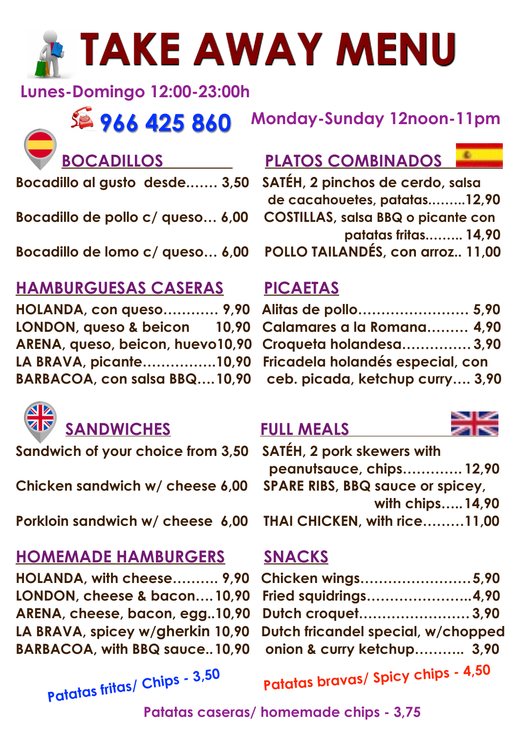# **TAKE AWAY MENU**

 **Lunes-Domingo 12:00-23:00h**

### **966 425 860 Monday-Sunday 12noon-11pm**

**Bocadillo al gusto desde.…… 3,50 SATÉH, 2 pinchos de cerdo, salsa** 

**Bocadillo de pollo c/ queso… 6,00 COSTILLAS, salsa BBQ o picante con**

### **HAMBURGUESAS CASERAS PICAETAS**

**HOLANDA, con queso………… 9,90 Alitas de pollo…………………… 5,90 LONDON, queso & beicon 10,90 ARENA, queso, beicon, huevo10,90 LA BRAVA, picante................10,90** BARBACOA, con salsa BBQ....10,90



### **SANDWICHES FULL MEALS**

**Porkloin sandwich w/ cheese 6,00** 

### **HOMEMADE HAMBURGERS SNACKS**

**HOLANDA, with cheese………. 9,90** LONDON, cheese & bacon.... 10.90 ARENA, cheese, bacon, egg..10,90 LA BRAVA, spicey w/gherkin 10,90 **BARBACOA, with BBQ sauce.. 10.90** 

**Patatas fritas/ Chips - 3,50**

### **PLATOS COMBINADOS**

 **de cacahouetes, patatas.……..12,90 patatas fritas.…….. 14,90 Bocadillo de lomo c/ queso… 6,00 POLLO TAILANDÉS, con arroz.. 11,00** 

| Alitas de pollo 5,90             |  |
|----------------------------------|--|
| Calamares a la Romana 4,90       |  |
| Croqueta holandesa 3,90          |  |
| Fricadela holandés especial, con |  |
| ceb. picada, ketchup curry 3,90  |  |

| Sandwich of your choice from 3,50  SATÉH, 2 pork skewers with |                                         |  |
|---------------------------------------------------------------|-----------------------------------------|--|
|                                                               | peanutsauce, chips 12,90                |  |
| Chicken sandwich w/ cheese 6,00                               | <b>SPARE RIBS, BBQ sauce or spicey,</b> |  |
|                                                               | with chips 14,90                        |  |
| Porkloin sandwich w/ cheese 6,00                              | THAI CHICKEN, with rice11,00            |  |

| Chicken wings5,90                  |  |  |
|------------------------------------|--|--|
| Fried squidrings4,90               |  |  |
| Dutch croquet 3,90                 |  |  |
| Dutch fricandel special, w/chopped |  |  |
| onion & curry ketchup 3,90         |  |  |

**Patatas bravas/ Spicy chips - 4,50**

**Patatas caseras/ homemade chips - 3,75**